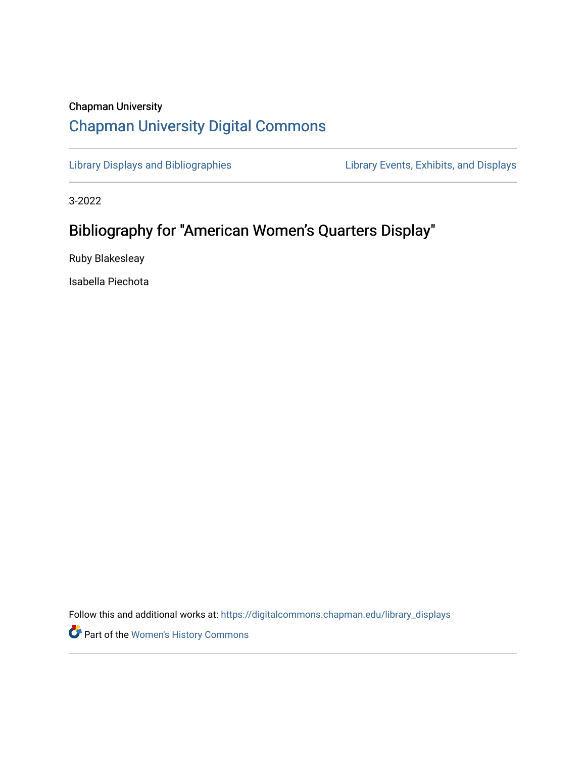## Chapman University [Chapman University Digital Commons](https://digitalcommons.chapman.edu/)

[Library Displays and Bibliographies](https://digitalcommons.chapman.edu/library_displays) Library Events, Exhibits, and Displays

3-2022

## Bibliography for "American Women's Quarters Display"

Ruby Blakesleay

Isabella Piechota

Follow this and additional works at: [https://digitalcommons.chapman.edu/library\\_displays](https://digitalcommons.chapman.edu/library_displays?utm_source=digitalcommons.chapman.edu%2Flibrary_displays%2F20&utm_medium=PDF&utm_campaign=PDFCoverPages)

Part of the [Women's History Commons](http://network.bepress.com/hgg/discipline/507?utm_source=digitalcommons.chapman.edu%2Flibrary_displays%2F20&utm_medium=PDF&utm_campaign=PDFCoverPages)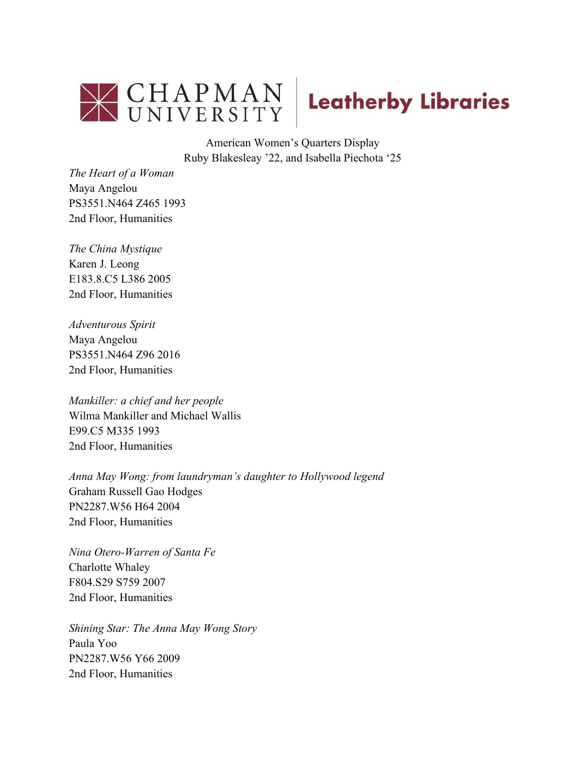



American Women's Quarters Display Ruby Blakesleay '22, and Isabella Piechota '25

*The Heart of a Woman*  Maya Angelou PS3551.N464 Z465 1993 2nd Floor, Humanities

*The China Mystique*  Karen J. Leong E183.8.C5 L386 2005 2nd Floor, Humanities

*Adventurous Spirit*  Maya Angelou PS3551.N464 Z96 2016 2nd Floor, Humanities

*Mankiller: a chief and her people* Wilma Mankiller and Michael Wallis E99.C5 M335 1993 2nd Floor, Humanities

*Anna May Wong: from laundryman's daughter to Hollywood legend*  Graham Russell Gao Hodges PN2287.W56 H64 2004 2nd Floor, Humanities

*Nina Otero-Warren of Santa Fe*  Charlotte Whaley F804.S29 S759 2007 2nd Floor, Humanities

*Shining Star: The Anna May Wong Story* Paula Yoo PN2287.W56 Y66 2009 2nd Floor, Humanities